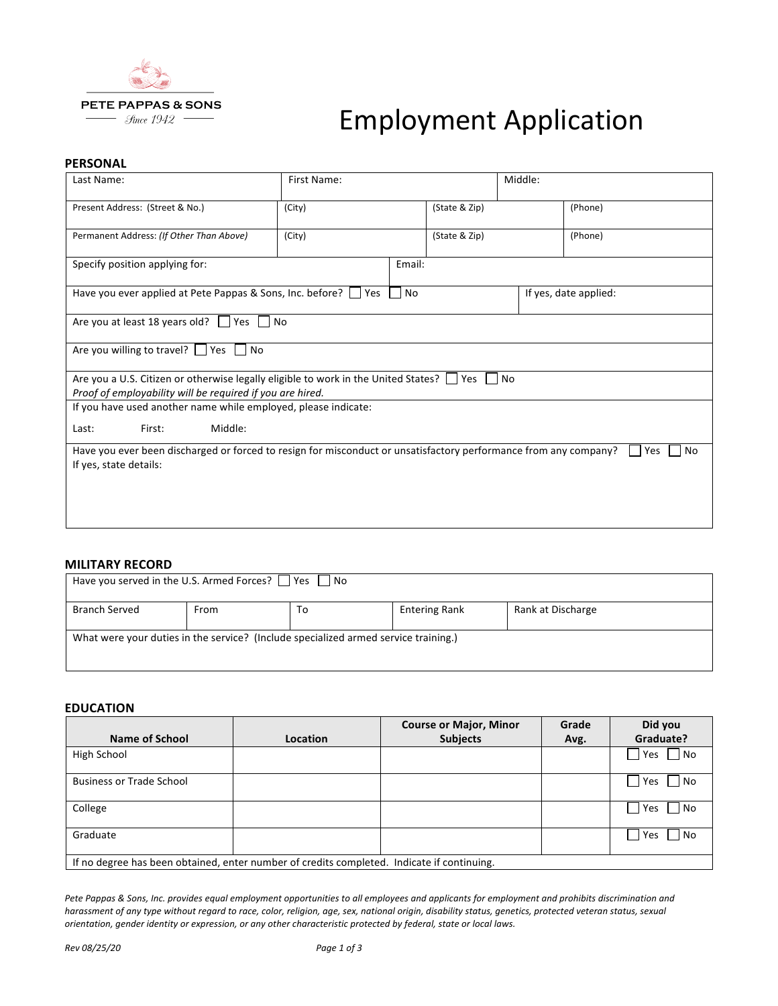

# **Employment Application**

#### **PERSONAL**

| Last Name:                                                                                                                                              | First Name:             |  | Middle:       |  |         |  |
|---------------------------------------------------------------------------------------------------------------------------------------------------------|-------------------------|--|---------------|--|---------|--|
| Present Address: (Street & No.)                                                                                                                         | (City)                  |  | (State & Zip) |  | (Phone) |  |
| Permanent Address: (If Other Than Above)                                                                                                                | (City)<br>(State & Zip) |  |               |  | (Phone) |  |
| Specify position applying for:                                                                                                                          |                         |  | Email:        |  |         |  |
| Have you ever applied at Pete Pappas & Sons, Inc. before?<br><b>No</b><br>Yes<br>If yes, date applied:                                                  |                         |  |               |  |         |  |
| Are you at least 18 years old? $\Box$ Yes<br>∣ I No                                                                                                     |                         |  |               |  |         |  |
| Are you willing to travel? $\Box$ Yes $\Box$ No                                                                                                         |                         |  |               |  |         |  |
| Are you a U.S. Citizen or otherwise legally eligible to work in the United States?<br>l INo<br>Yes                                                      |                         |  |               |  |         |  |
| Proof of employability will be required if you are hired.                                                                                               |                         |  |               |  |         |  |
| If you have used another name while employed, please indicate:                                                                                          |                         |  |               |  |         |  |
| Middle:<br>First:<br>Last:                                                                                                                              |                         |  |               |  |         |  |
| Have you ever been discharged or forced to resign for misconduct or unsatisfactory performance from any company?<br>Yes<br>No<br>If yes, state details: |                         |  |               |  |         |  |
|                                                                                                                                                         |                         |  |               |  |         |  |
|                                                                                                                                                         |                         |  |               |  |         |  |
|                                                                                                                                                         |                         |  |               |  |         |  |
|                                                                                                                                                         |                         |  |               |  |         |  |

### **MILITARY RECORD**

| Have you served in the U.S. Armed Forces? $\Box$ Yes $\Box$ No                      |      |    |                      |                   |  |  |
|-------------------------------------------------------------------------------------|------|----|----------------------|-------------------|--|--|
| <b>Branch Served</b>                                                                | From | To | <b>Entering Rank</b> | Rank at Discharge |  |  |
| What were your duties in the service? (Include specialized armed service training.) |      |    |                      |                   |  |  |

#### **EDUCATION**

|                                                                                           |          | <b>Course or Major, Minor</b> | Grade | Did you          |  |
|-------------------------------------------------------------------------------------------|----------|-------------------------------|-------|------------------|--|
| Name of School                                                                            | Location | <b>Subjects</b>               | Avg.  | Graduate?        |  |
| High School                                                                               |          |                               |       | No<br>Yes        |  |
| <b>Business or Trade School</b>                                                           |          |                               |       | $\Box$ No<br>Yes |  |
| College                                                                                   |          |                               |       | $\Box$ No<br>Yes |  |
| Graduate                                                                                  |          |                               |       | No<br>Yes        |  |
| If no degree has been obtained, enter number of credits completed. Indicate if continuing |          |                               |       |                  |  |

If no degree has been obtained, enter number of credits completed. Indicate if continuing.

Pete Pappas & Sons, Inc. provides equal employment opportunities to all employees and applicants for employment and prohibits discrimination and harassment of any type without regard to race, color, religion, age, sex, national origin, disability status, genetics, protected veteran status, sexual *orientation, gender identity or expression, or any other characteristic protected by federal, state or local laws.*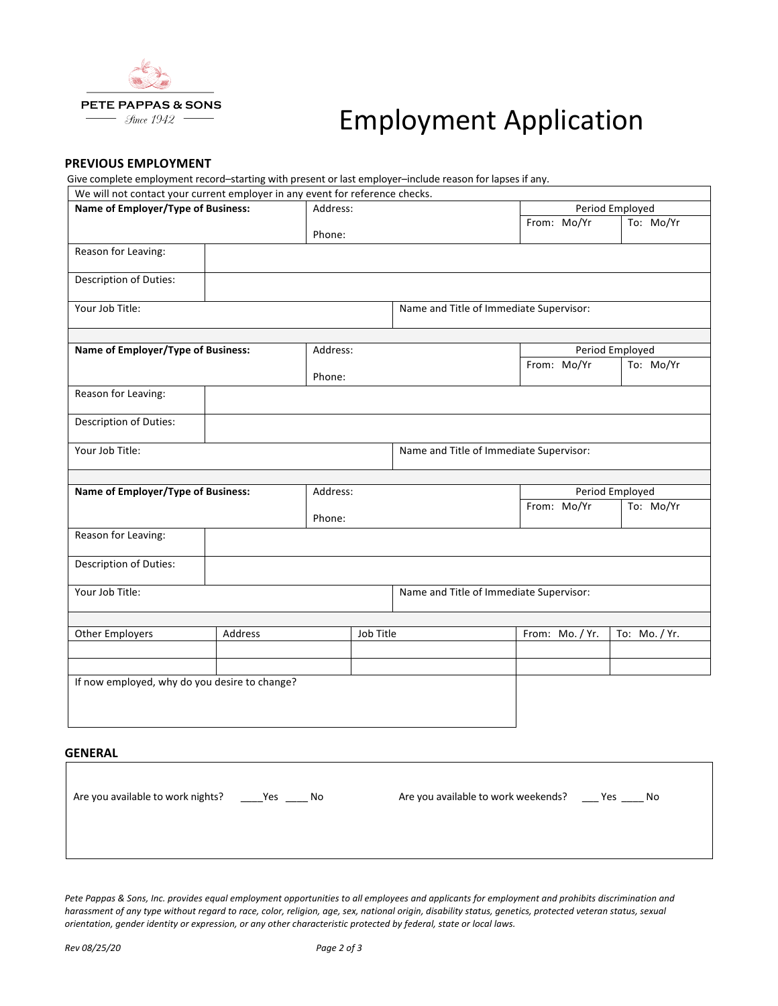

# **Employment Application**

## **PREVIOUS EMPLOYMENT**

Give complete employment record-starting with present or last employer-include reason for lapses if any.

| We will not contact your current employer in any event for reference checks. |         |           |                                         |                                         |                 |  |
|------------------------------------------------------------------------------|---------|-----------|-----------------------------------------|-----------------------------------------|-----------------|--|
| Name of Employer/Type of Business:                                           |         | Address:  |                                         |                                         | Period Employed |  |
|                                                                              | Phone:  |           |                                         | From: Mo/Yr                             | To: Mo/Yr       |  |
| Reason for Leaving:                                                          |         |           |                                         |                                         |                 |  |
| Description of Duties:                                                       |         |           |                                         |                                         |                 |  |
| Your Job Title:                                                              |         |           |                                         | Name and Title of Immediate Supervisor: |                 |  |
| Name of Employer/Type of Business:                                           |         | Address:  |                                         |                                         | Period Employed |  |
|                                                                              |         |           |                                         |                                         | To: Mo/Yr       |  |
|                                                                              |         | Phone:    |                                         | From: Mo/Yr                             |                 |  |
| Reason for Leaving:                                                          |         |           |                                         |                                         |                 |  |
| <b>Description of Duties:</b>                                                |         |           |                                         |                                         |                 |  |
| Your Job Title:                                                              |         |           | Name and Title of Immediate Supervisor: |                                         |                 |  |
|                                                                              |         |           |                                         |                                         |                 |  |
| Name of Employer/Type of Business:                                           |         | Address:  |                                         |                                         | Period Employed |  |
|                                                                              |         | Phone:    |                                         | From: Mo/Yr                             | To: Mo/Yr       |  |
| Reason for Leaving:                                                          |         |           |                                         |                                         |                 |  |
| Description of Duties:                                                       |         |           |                                         |                                         |                 |  |
| Your Job Title:                                                              |         |           | Name and Title of Immediate Supervisor: |                                         |                 |  |
|                                                                              |         |           |                                         |                                         |                 |  |
| <b>Other Employers</b>                                                       | Address | Job Title |                                         | From: Mo. / Yr.                         | To: Mo. / Yr.   |  |
|                                                                              |         |           |                                         |                                         |                 |  |
|                                                                              |         |           |                                         |                                         |                 |  |
| If now employed, why do you desire to change?                                |         |           |                                         |                                         |                 |  |
|                                                                              |         |           |                                         |                                         |                 |  |
|                                                                              |         |           |                                         |                                         |                 |  |

### **GENERAL**

Are you available to work nights? \_\_\_\_Yes \_\_\_\_ No Are you available to work weekends? \_\_\_ Yes \_\_\_\_ No

Pete Pappas & Sons, Inc. provides equal employment opportunities to all employees and applicants for employment and prohibits discrimination and harassment of any type without regard to race, color, religion, age, sex, national origin, disability status, genetics, protected veteran status, sexual *orientation, gender identity or expression, or any other characteristic protected by federal, state or local laws.*